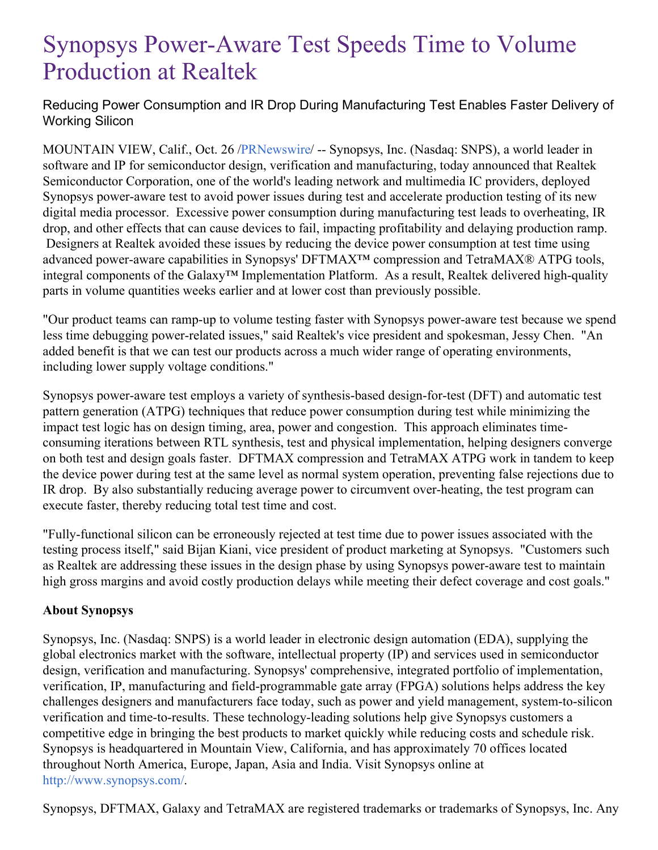## Synopsys Power-Aware Test Speeds Time to Volume Production at Realtek

Reducing Power Consumption and IR Drop During Manufacturing Test Enables Faster Delivery of Working Silicon

MOUNTAIN VIEW, Calif., Oct. 26 [/PRNewswire](http://www.prnewswire.com/)/ -- Synopsys, Inc. (Nasdaq: SNPS), a world leader in software and IP for semiconductor design, verification and manufacturing, today announced that Realtek Semiconductor Corporation, one of the world's leading network and multimedia IC providers, deployed Synopsys power-aware test to avoid power issues during test and accelerate production testing of its new digital media processor. Excessive power consumption during manufacturing test leads to overheating, IR drop, and other effects that can cause devices to fail, impacting profitability and delaying production ramp. Designers at Realtek avoided these issues by reducing the device power consumption at test time using advanced power-aware capabilities in Synopsys' DFTMAX™ compression and TetraMAX® ATPG tools, integral components of the Galaxy™ Implementation Platform. As a result, Realtek delivered high-quality parts in volume quantities weeks earlier and at lower cost than previously possible.

"Our product teams can ramp-up to volume testing faster with Synopsys power-aware test because we spend less time debugging power-related issues," said Realtek's vice president and spokesman, Jessy Chen. "An added benefit is that we can test our products across a much wider range of operating environments, including lower supply voltage conditions."

Synopsys power-aware test employs a variety of synthesis-based design-for-test (DFT) and automatic test pattern generation (ATPG) techniques that reduce power consumption during test while minimizing the impact test logic has on design timing, area, power and congestion. This approach eliminates timeconsuming iterations between RTL synthesis, test and physical implementation, helping designers converge on both test and design goals faster. DFTMAX compression and TetraMAX ATPG work in tandem to keep the device power during test at the same level as normal system operation, preventing false rejections due to IR drop. By also substantially reducing average power to circumvent over-heating, the test program can execute faster, thereby reducing total test time and cost.

"Fully-functional silicon can be erroneously rejected at test time due to power issues associated with the testing process itself," said Bijan Kiani, vice president of product marketing at Synopsys. "Customers such as Realtek are addressing these issues in the design phase by using Synopsys power-aware test to maintain high gross margins and avoid costly production delays while meeting their defect coverage and cost goals."

## **About Synopsys**

Synopsys, Inc. (Nasdaq: SNPS) is a world leader in electronic design automation (EDA), supplying the global electronics market with the software, intellectual property (IP) and services used in semiconductor design, verification and manufacturing. Synopsys' comprehensive, integrated portfolio of implementation, verification, IP, manufacturing and field-programmable gate array (FPGA) solutions helps address the key challenges designers and manufacturers face today, such as power and yield management, system-to-silicon verification and time-to-results. These technology-leading solutions help give Synopsys customers a competitive edge in bringing the best products to market quickly while reducing costs and schedule risk. Synopsys is headquartered in Mountain View, California, and has approximately 70 offices located throughout North America, Europe, Japan, Asia and India. Visit Synopsys online at <http://www.synopsys.com/>.

Synopsys, DFTMAX, Galaxy and TetraMAX are registered trademarks or trademarks of Synopsys, Inc. Any